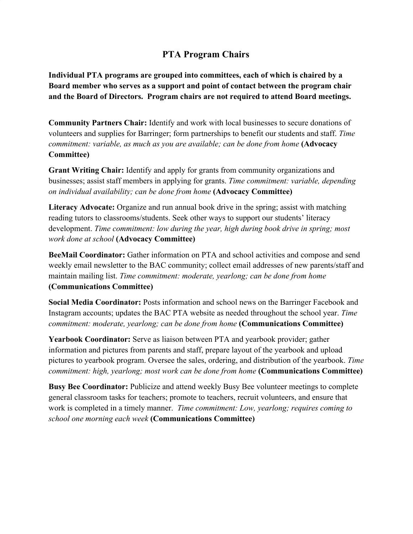## **PTA Program Chairs**

**Individual PTA programs are grouped into committees, each of which is chaired by a Board member who serves as a support and point of contact between the program chair and the Board of Directors. Program chairs are not required to attend Board meetings.**

**Community Partners Chair:** Identify and work with local businesses to secure donations of volunteers and supplies for Barringer; form partnerships to benefit our students and staff. *Time commitment: variable, as much as you are available; can be done from home* (Advocacy **Committee)**

**Grant Writing Chair:** Identify and apply for grants from community organizations and businesses; assist staff members in applying for grants. *Time commitment: variable, depending on individual availability; can be done from home* **(Advocacy Committee)**

**Literacy Advocate:** Organize and run annual book drive in the spring; assist with matching reading tutors to classrooms/students. Seek other ways to support our students' literacy development. *Time commitment: low during the year, high during book drive in spring; most work done at school* **(Advocacy Committee)**

**BeeMail Coordinator:** Gather information on PTA and school activities and compose and send weekly email newsletter to the BAC community; collect email addresses of new parents/staff and maintain mailing list. *Time commitment: moderate, yearlong; can be done from home* **(Communications Committee)**

**Social Media Coordinator:** Posts information and school news on the Barringer Facebook and Instagram accounts; updates the BAC PTA website as needed throughout the school year. *Time commitment: moderate, yearlong; can be done from home* **(Communications Committee)**

**Yearbook Coordinator:** Serve as liaison between PTA and yearbook provider; gather information and pictures from parents and staff, prepare layout of the yearbook and upload pictures to yearbook program. Oversee the sales, ordering, and distribution of the yearbook. *Time commitment: high, yearlong; most work can be done from home* **(Communications Committee)**

**Busy Bee Coordinator:** Publicize and attend weekly Busy Bee volunteer meetings to complete general classroom tasks for teachers; promote to teachers, recruit volunteers, and ensure that work is completed in a timely manner. *Time commitment: Low, yearlong; requires coming to school one morning each week* **(Communications Committee)**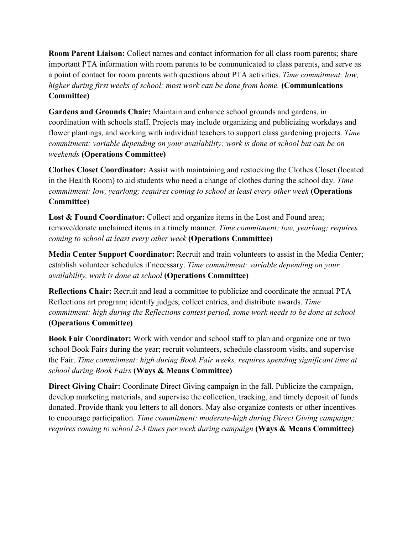**Room Parent Liaison:** Collect names and contact information for all class room parents; share important PTA information with room parents to be communicated to class parents, and serve as a point of contact for room parents with questions about PTA activities. *Time commitment: low, higher during first weeks of school; most work can be done from home.* **(Communications Committee)**

**Gardens and Grounds Chair:** Maintain and enhance school grounds and gardens, in coordination with schools staff. Projects may include organizing and publicizing workdays and flower plantings, and working with individual teachers to support class gardening projects. *Time commitment: variable depending on your availability; work is done at school but can be on weekends* **(Operations Committee)**

**Clothes Closet Coordinator:** Assist with maintaining and restocking the Clothes Closet (located in the Health Room) to aid students who need a change of clothes during the school day. *Time commitment: low, yearlong; requires coming to school at least every other week* **(Operations Committee)**

**Lost & Found Coordinator:** Collect and organize items in the Lost and Found area; remove/donate unclaimed items in a timely manner. *Time commitment: low, yearlong; requires coming to school at least every other week* **(Operations Committee)**

**Media Center Support Coordinator:** Recruit and train volunteers to assist in the Media Center; establish volunteer schedules if necessary. *Time commitment: variable depending on your availability, work is done at school* **(Operations Committee)**

**Reflections Chair:** Recruit and lead a committee to publicize and coordinate the annual PTA Reflections art program; identify judges, collect entries, and distribute awards. *Time commitment: high during the Reflections contest period, some work needs to be done at school* **(Operations Committee)**

**Book Fair Coordinator:** Work with vendor and school staff to plan and organize one or two school Book Fairs during the year; recruit volunteers, schedule classroom visits, and supervise the Fair. *Time commitment: high during Book Fair weeks, requires spending significant time at school during Book Fairs* **(Ways & Means Committee)**

**Direct Giving Chair:** Coordinate Direct Giving campaign in the fall. Publicize the campaign, develop marketing materials, and supervise the collection, tracking, and timely deposit of funds donated. Provide thank you letters to all donors. May also organize contests or other incentives to encourage participation. *Time commitment: moderate-high during Direct Giving campaign; requires coming to school 2-3 times per week during campaign* **(Ways & Means Committee)**